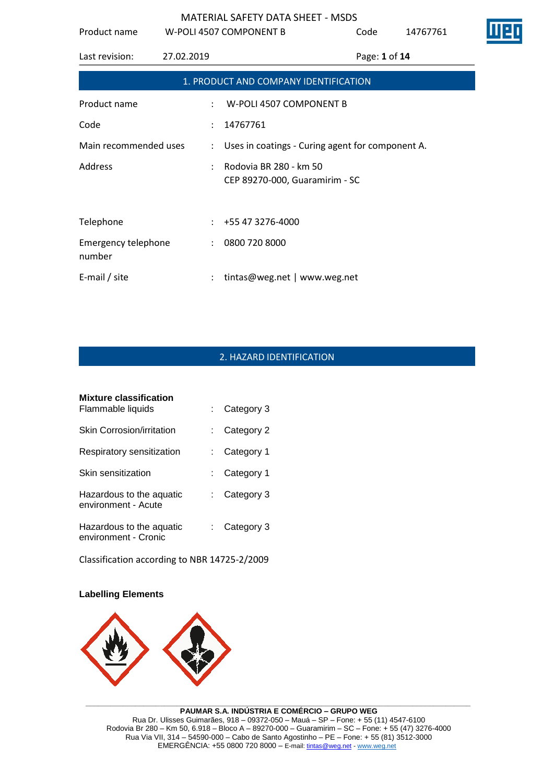| Product name                                                                |            | W-POLI 4507 COMPONENT B                                  | Code          | 14767761 |
|-----------------------------------------------------------------------------|------------|----------------------------------------------------------|---------------|----------|
| Last revision:                                                              | 27.02.2019 |                                                          | Page: 1 of 14 |          |
|                                                                             |            | 1. PRODUCT AND COMPANY IDENTIFICATION                    |               |          |
| Product name                                                                |            | W-POLI 4507 COMPONENT B                                  |               |          |
| Code                                                                        |            | 14767761                                                 |               |          |
| Main recommended uses<br>: Uses in coatings - Curing agent for component A. |            |                                                          |               |          |
| Address                                                                     |            | Rodovia BR 280 - km 50<br>CEP 89270-000, Guaramirim - SC |               |          |
| Telephone                                                                   | ÷.         | +55 47 3276-4000                                         |               |          |
| <b>Emergency telephone</b><br>number                                        |            | : 08007208000                                            |               |          |
| E-mail / site                                                               |            | tintas@weg.net   www.weg.net                             |               |          |

# 2. HAZARD IDENTIFICATION

| <b>Mixture classification</b><br>Flammable liquids | Category 3 |
|----------------------------------------------------|------------|
| Skin Corrosion/irritation                          | Category 2 |
| Respiratory sensitization                          | Category 1 |
| Skin sensitization                                 | Category 1 |
| Hazardous to the aquatic<br>environment - Acute    | Category 3 |
| Hazardous to the aquatic<br>environment - Cronic   | Category 3 |

Classification according to NBR 14725-2/2009

#### **Labelling Elements**

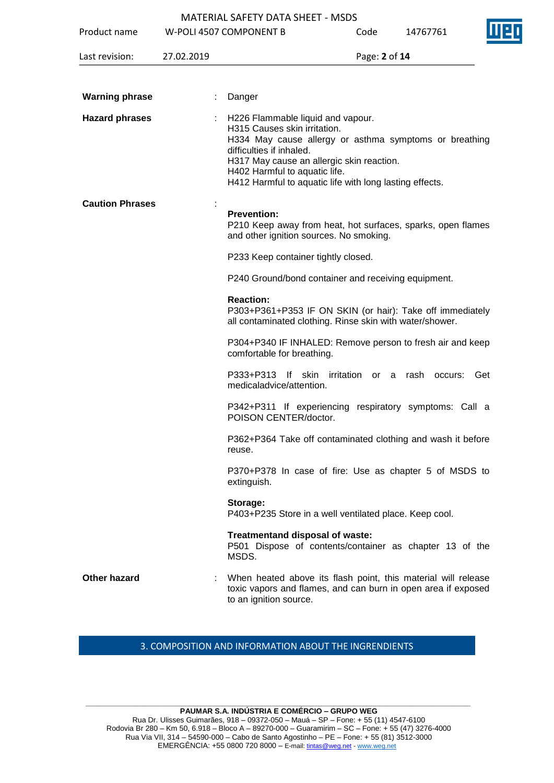|                        |            | <b>MATERIAL SAFETY DATA SHEET - MSDS</b>                                                                                                                                                                                                                                                         |               |          |  |  |
|------------------------|------------|--------------------------------------------------------------------------------------------------------------------------------------------------------------------------------------------------------------------------------------------------------------------------------------------------|---------------|----------|--|--|
| Product name           |            | W-POLI 4507 COMPONENT B                                                                                                                                                                                                                                                                          | Code          | 14767761 |  |  |
| Last revision:         | 27.02.2019 |                                                                                                                                                                                                                                                                                                  | Page: 2 of 14 |          |  |  |
|                        |            |                                                                                                                                                                                                                                                                                                  |               |          |  |  |
| <b>Warning phrase</b>  |            | Danger                                                                                                                                                                                                                                                                                           |               |          |  |  |
| <b>Hazard phrases</b>  |            | H226 Flammable liquid and vapour.<br>H315 Causes skin irritation.<br>H334 May cause allergy or asthma symptoms or breathing<br>difficulties if inhaled.<br>H317 May cause an allergic skin reaction.<br>H402 Harmful to aquatic life.<br>H412 Harmful to aquatic life with long lasting effects. |               |          |  |  |
| <b>Caution Phrases</b> |            | <b>Prevention:</b><br>P210 Keep away from heat, hot surfaces, sparks, open flames<br>and other ignition sources. No smoking.                                                                                                                                                                     |               |          |  |  |
|                        |            | P233 Keep container tightly closed.                                                                                                                                                                                                                                                              |               |          |  |  |
|                        |            | P240 Ground/bond container and receiving equipment.                                                                                                                                                                                                                                              |               |          |  |  |
|                        |            | <b>Reaction:</b><br>P303+P361+P353 IF ON SKIN (or hair): Take off immediately<br>all contaminated clothing. Rinse skin with water/shower.                                                                                                                                                        |               |          |  |  |
|                        |            | P304+P340 IF INHALED: Remove person to fresh air and keep<br>comfortable for breathing.                                                                                                                                                                                                          |               |          |  |  |
|                        |            | P333+P313 If skin irritation or a rash occurs:<br>medicaladvice/attention.                                                                                                                                                                                                                       |               | Get      |  |  |
|                        |            | P342+P311 If experiencing respiratory symptoms: Call a<br>POISON CENTER/doctor.                                                                                                                                                                                                                  |               |          |  |  |
|                        |            | P362+P364 Take off contaminated clothing and wash it before<br>reuse.                                                                                                                                                                                                                            |               |          |  |  |
|                        |            | P370+P378 In case of fire: Use as chapter 5 of MSDS to<br>extinguish.                                                                                                                                                                                                                            |               |          |  |  |
|                        |            | Storage:<br>P403+P235 Store in a well ventilated place. Keep cool.                                                                                                                                                                                                                               |               |          |  |  |
|                        |            | Treatmentand disposal of waste:<br>P501 Dispose of contents/container as chapter 13 of the<br>MSDS.                                                                                                                                                                                              |               |          |  |  |
| Other hazard           |            | When heated above its flash point, this material will release<br>toxic vapors and flames, and can burn in open area if exposed<br>to an ignition source.                                                                                                                                         |               |          |  |  |

# 3. COMPOSITION AND INFORMATION ABOUT THE INGRENDIENTS

**\_\_\_\_\_\_\_\_\_\_\_\_\_\_\_\_\_\_\_\_\_\_\_\_\_\_\_\_\_\_\_\_\_\_\_\_\_\_\_\_\_\_\_\_\_\_\_\_\_\_\_\_\_\_\_\_\_\_\_\_\_\_\_\_\_\_\_\_\_\_\_\_\_\_\_\_\_\_\_\_\_\_\_\_\_\_\_\_\_\_\_\_\_ PAUMAR S.A. INDÚSTRIA E COMÉRCIO – GRUPO WEG** Rua Dr. Ulisses Guimarães, 918 – 09372-050 – Mauá – SP – Fone: + 55 (11) 4547-6100 Rodovia Br 280 – Km 50, 6.918 – Bloco A – 89270-000 – Guaramirim – SC – Fone: + 55 (47) 3276-4000 Rua Via VII, 314 – 54590-000 – Cabo de Santo Agostinho – PE – Fone: + 55 (81) 3512-3000 EMERGËNCIA: +55 0800 720 8000 – E-mail[: tintas@weg.net](mailto:tintas@weg.net) - [www.weg.net](http://www.weg.net/)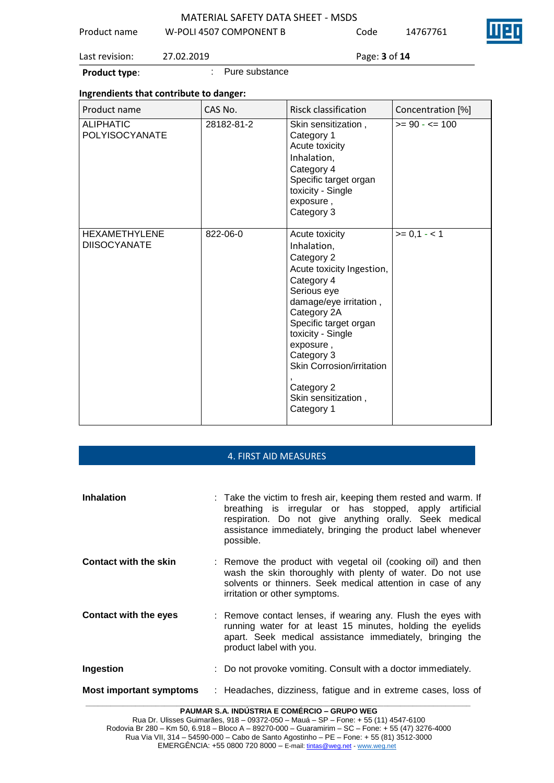|  | <b>MATERIAL SAFETY DATA SHEET - MSDS</b> |  |
|--|------------------------------------------|--|
|--|------------------------------------------|--|

| Product name | W-POLI 4507 COMPONENT B | Code | 14767761 | IIIE |
|--------------|-------------------------|------|----------|------|
|              |                         |      |          |      |

Last revision: 27.02.2019 Page: **3** of **14**

**Product type:**  $\qquad \qquad$ : Pure substance

# **Ingrendients that contribute to danger:**

| Product name                                | CAS No.    | <b>Risck classification</b>                                                                                                                                                                                                                                                                             | Concentration [%] |
|---------------------------------------------|------------|---------------------------------------------------------------------------------------------------------------------------------------------------------------------------------------------------------------------------------------------------------------------------------------------------------|-------------------|
| <b>ALIPHATIC</b><br><b>POLYISOCYANATE</b>   | 28182-81-2 | Skin sensitization,<br>Category 1<br>Acute toxicity<br>Inhalation,<br>Category 4<br>Specific target organ<br>toxicity - Single<br>exposure,<br>Category 3                                                                                                                                               | $>= 90 - 5 = 100$ |
| <b>HEXAMETHYLENE</b><br><b>DIISOCYANATE</b> | 822-06-0   | Acute toxicity<br>Inhalation,<br>Category 2<br>Acute toxicity Ingestion,<br>Category 4<br>Serious eye<br>damage/eye irritation,<br>Category 2A<br>Specific target organ<br>toxicity - Single<br>exposure,<br>Category 3<br>Skin Corrosion/irritation<br>Category 2<br>Skin sensitization,<br>Category 1 | $>= 0,1 - 1$      |

## 4. FIRST AID MEASURES

| <b>Inhalation</b>            | : Take the victim to fresh air, keeping them rested and warm. If<br>breathing is irregular or has stopped, apply artificial<br>respiration. Do not give anything orally. Seek medical<br>assistance immediately, bringing the product label whenever<br>possible. |
|------------------------------|-------------------------------------------------------------------------------------------------------------------------------------------------------------------------------------------------------------------------------------------------------------------|
| <b>Contact with the skin</b> | : Remove the product with vegetal oil (cooking oil) and then<br>wash the skin thoroughly with plenty of water. Do not use<br>solvents or thinners. Seek medical attention in case of any<br>irritation or other symptoms.                                         |
| <b>Contact with the eyes</b> | : Remove contact lenses, if wearing any. Flush the eyes with<br>running water for at least 15 minutes, holding the eyelids<br>apart. Seek medical assistance immediately, bringing the<br>product label with you.                                                 |
| Ingestion                    | : Do not provoke vomiting. Consult with a doctor immediately.                                                                                                                                                                                                     |
| Most important symptoms      | : Headaches, dizziness, fatigue and in extreme cases, loss of                                                                                                                                                                                                     |

**PAUMAR S.A. INDÚSTRIA E COMÉRCIO – GRUPO WEG**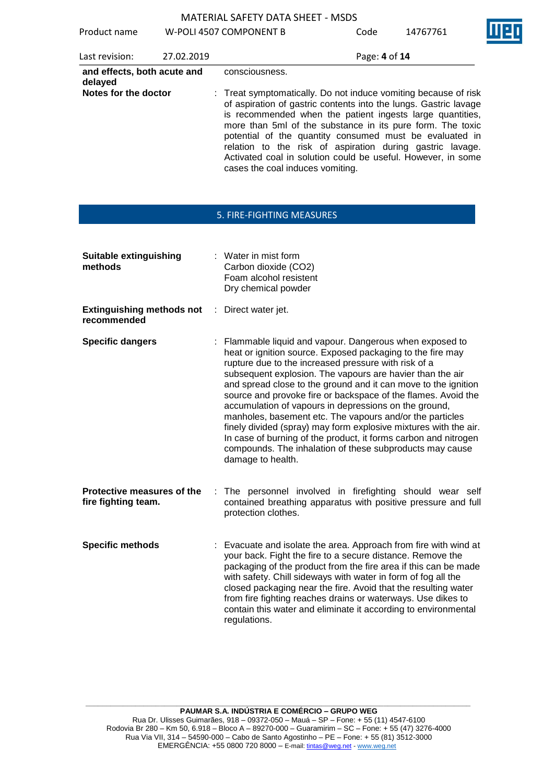Product name W-POLI 4507 COMPONENT B Code 1476

| 7761 | M |
|------|---|
|      |   |

| Last revision:                         | 27.02.2019 | Page: 4 of 14                                                                                                                                                                                                                                                                                                                                                                                                                                                                              |
|----------------------------------------|------------|--------------------------------------------------------------------------------------------------------------------------------------------------------------------------------------------------------------------------------------------------------------------------------------------------------------------------------------------------------------------------------------------------------------------------------------------------------------------------------------------|
| and effects, both acute and<br>delayed |            | consciousness.                                                                                                                                                                                                                                                                                                                                                                                                                                                                             |
| Notes for the doctor                   |            | : Treat symptomatically. Do not induce vomiting because of risk<br>of aspiration of gastric contents into the lungs. Gastric lavage<br>is recommended when the patient ingests large quantities,<br>more than 5ml of the substance in its pure form. The toxic<br>potential of the quantity consumed must be evaluated in<br>relation to the risk of aspiration during gastric lavage.<br>Activated coal in solution could be useful. However, in some<br>cases the coal induces vomiting. |

## 5. FIRE-FIGHTING MEASURES

| <b>Suitable extinguishing</b><br>methods          |    | : Water in mist form<br>Carbon dioxide (CO2)<br>Foam alcohol resistent<br>Dry chemical powder                                                                                                                                                                                                                                                                                                                                                                                                                                                                                                                                                                                                                               |
|---------------------------------------------------|----|-----------------------------------------------------------------------------------------------------------------------------------------------------------------------------------------------------------------------------------------------------------------------------------------------------------------------------------------------------------------------------------------------------------------------------------------------------------------------------------------------------------------------------------------------------------------------------------------------------------------------------------------------------------------------------------------------------------------------------|
| <b>Extinguishing methods not</b><br>recommended   | ÷. | Direct water jet.                                                                                                                                                                                                                                                                                                                                                                                                                                                                                                                                                                                                                                                                                                           |
| <b>Specific dangers</b>                           |    | : Flammable liquid and vapour. Dangerous when exposed to<br>heat or ignition source. Exposed packaging to the fire may<br>rupture due to the increased pressure with risk of a<br>subsequent explosion. The vapours are havier than the air<br>and spread close to the ground and it can move to the ignition<br>source and provoke fire or backspace of the flames. Avoid the<br>accumulation of vapours in depressions on the ground,<br>manholes, basement etc. The vapours and/or the particles<br>finely divided (spray) may form explosive mixtures with the air.<br>In case of burning of the product, it forms carbon and nitrogen<br>compounds. The inhalation of these subproducts may cause<br>damage to health. |
| Protective measures of the<br>fire fighting team. | ÷. | The personnel involved in firefighting should wear self<br>contained breathing apparatus with positive pressure and full<br>protection clothes.                                                                                                                                                                                                                                                                                                                                                                                                                                                                                                                                                                             |
| <b>Specific methods</b>                           |    | : Evacuate and isolate the area. Approach from fire with wind at<br>your back. Fight the fire to a secure distance. Remove the<br>packaging of the product from the fire area if this can be made<br>with safety. Chill sideways with water in form of fog all the<br>closed packaging near the fire. Avoid that the resulting water<br>from fire fighting reaches drains or waterways. Use dikes to<br>contain this water and eliminate it according to environmental<br>regulations.                                                                                                                                                                                                                                      |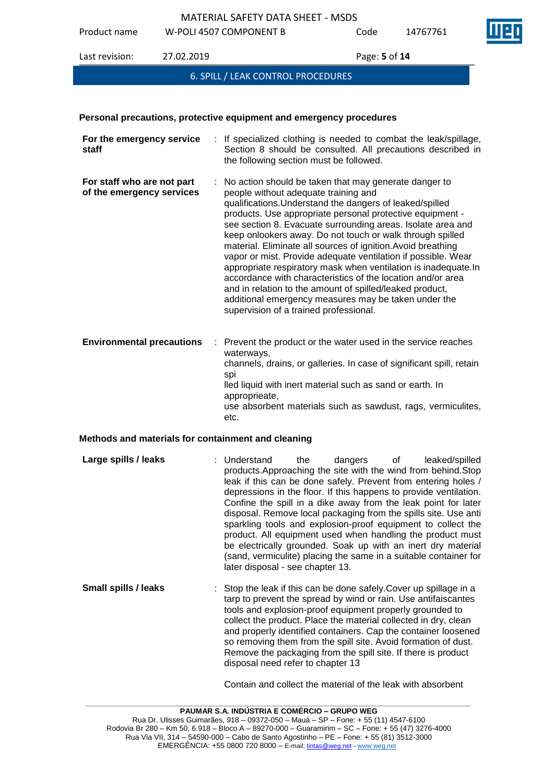MATERIAL SAFETY DATA SHEET - MSDS Product name W-POLI 4507 COMPONENT B Code 14767761 Last revision: 27.02.2019 Page: **5** of **14**



# 6. SPILL / LEAK CONTROL PROCEDURES

## **Personal precautions, protective equipment and emergency procedures**

| For the emergency service<br>staff                      | : If specialized clothing is needed to combat the leak/spillage,<br>Section 8 should be consulted. All precautions described in<br>the following section must be followed.                                                                                                                                                                                                                                                                                                                                                                                                                                                                                                                                                                                                            |
|---------------------------------------------------------|---------------------------------------------------------------------------------------------------------------------------------------------------------------------------------------------------------------------------------------------------------------------------------------------------------------------------------------------------------------------------------------------------------------------------------------------------------------------------------------------------------------------------------------------------------------------------------------------------------------------------------------------------------------------------------------------------------------------------------------------------------------------------------------|
| For staff who are not part<br>of the emergency services | : No action should be taken that may generate danger to<br>people without adequate training and<br>qualifications. Understand the dangers of leaked/spilled<br>products. Use appropriate personal protective equipment -<br>see section 8. Evacuate surrounding areas. Isolate area and<br>keep onlookers away. Do not touch or walk through spilled<br>material. Eliminate all sources of ignition. Avoid breathing<br>vapor or mist. Provide adequate ventilation if possible. Wear<br>appropriate respiratory mask when ventilation is inadequate. In<br>accordance with characteristics of the location and/or area<br>and in relation to the amount of spilled/leaked product,<br>additional emergency measures may be taken under the<br>supervision of a trained professional. |
| <b>Environmental precautions</b>                        | Prevent the product or the water used in the service reaches<br>waterways,<br>channels, drains, or galleries. In case of significant spill, retain<br>spi<br>lled liquid with inert material such as sand or earth. In<br>approprieate,<br>use absorbent materials such as sawdust, rags, vermiculites,<br>etc.                                                                                                                                                                                                                                                                                                                                                                                                                                                                       |

## **Methods and materials for containment and cleaning**

| Large spills / leaks | : Understand<br>products. Approaching the site with the wind from behind. Stop<br>leak if this can be done safely. Prevent from entering holes /<br>depressions in the floor. If this happens to provide ventilation.<br>Confine the spill in a dike away from the leak point for later<br>disposal. Remove local packaging from the spills site. Use anti<br>sparkling tools and explosion-proof equipment to collect the<br>product. All equipment used when handling the product must<br>be electrically grounded. Soak up with an inert dry material<br>(sand, vermiculite) placing the same in a suitable container for<br>later disposal - see chapter 13. | the | dangers of |  | leaked/spilled |
|----------------------|------------------------------------------------------------------------------------------------------------------------------------------------------------------------------------------------------------------------------------------------------------------------------------------------------------------------------------------------------------------------------------------------------------------------------------------------------------------------------------------------------------------------------------------------------------------------------------------------------------------------------------------------------------------|-----|------------|--|----------------|
|----------------------|------------------------------------------------------------------------------------------------------------------------------------------------------------------------------------------------------------------------------------------------------------------------------------------------------------------------------------------------------------------------------------------------------------------------------------------------------------------------------------------------------------------------------------------------------------------------------------------------------------------------------------------------------------------|-----|------------|--|----------------|

**Small spills / leaks** : Stop the leak if this can be done safely. Cover up spillage in a tarp to prevent the spread by wind or rain. Use antifaiscantes tools and explosion-proof equipment properly grounded to collect the product. Place the material collected in dry, clean and properly identified containers. Cap the container loosened so removing them from the spill site. Avoid formation of dust. Remove the packaging from the spill site. If there is product disposal need refer to chapter 13

Contain and collect the material of the leak with absorbent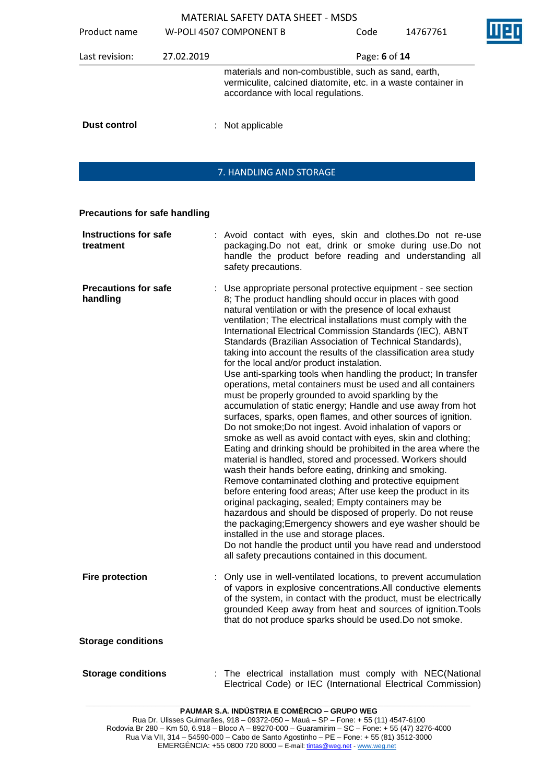| Product name        |            | W-POLI 4507 COMPONENT B                                                                                                                                    | Code          | 14767761 |  |
|---------------------|------------|------------------------------------------------------------------------------------------------------------------------------------------------------------|---------------|----------|--|
| Last revision:      | 27.02.2019 |                                                                                                                                                            | Page: 6 of 14 |          |  |
|                     |            | materials and non-combustible, such as sand, earth,<br>vermiculite, calcined diatomite, etc. in a waste container in<br>accordance with local regulations. |               |          |  |
| <b>Dust control</b> |            | $:$ Not applicable                                                                                                                                         |               |          |  |

# 7. HANDLING AND STORAGE

# **Precautions for safe handling**

| <b>Instructions for safe</b><br>treatment | : Avoid contact with eyes, skin and clothes. Do not re-use<br>packaging.Do not eat, drink or smoke during use.Do not<br>handle the product before reading and understanding all<br>safety precautions.                                                                                                                                                                                                                                                                                                                                                                                                                                                                                                                                                                                                                                                                                                                                                                                                                                                                                                                                                                                                                                                                                                                                                                                                                                                                                                                                                                                                                           |
|-------------------------------------------|----------------------------------------------------------------------------------------------------------------------------------------------------------------------------------------------------------------------------------------------------------------------------------------------------------------------------------------------------------------------------------------------------------------------------------------------------------------------------------------------------------------------------------------------------------------------------------------------------------------------------------------------------------------------------------------------------------------------------------------------------------------------------------------------------------------------------------------------------------------------------------------------------------------------------------------------------------------------------------------------------------------------------------------------------------------------------------------------------------------------------------------------------------------------------------------------------------------------------------------------------------------------------------------------------------------------------------------------------------------------------------------------------------------------------------------------------------------------------------------------------------------------------------------------------------------------------------------------------------------------------------|
| <b>Precautions for safe</b><br>handling   | : Use appropriate personal protective equipment - see section<br>8; The product handling should occur in places with good<br>natural ventilation or with the presence of local exhaust<br>ventilation; The electrical installations must comply with the<br>International Electrical Commission Standards (IEC), ABNT<br>Standards (Brazilian Association of Technical Standards),<br>taking into account the results of the classification area study<br>for the local and/or product instalation.<br>Use anti-sparking tools when handling the product; In transfer<br>operations, metal containers must be used and all containers<br>must be properly grounded to avoid sparkling by the<br>accumulation of static energy; Handle and use away from hot<br>surfaces, sparks, open flames, and other sources of ignition.<br>Do not smoke; Do not ingest. Avoid inhalation of vapors or<br>smoke as well as avoid contact with eyes, skin and clothing;<br>Eating and drinking should be prohibited in the area where the<br>material is handled, stored and processed. Workers should<br>wash their hands before eating, drinking and smoking.<br>Remove contaminated clothing and protective equipment<br>before entering food areas; After use keep the product in its<br>original packaging, sealed; Empty containers may be<br>hazardous and should be disposed of properly. Do not reuse<br>the packaging; Emergency showers and eye washer should be<br>installed in the use and storage places.<br>Do not handle the product until you have read and understood<br>all safety precautions contained in this document. |
| <b>Fire protection</b>                    | : Only use in well-ventilated locations, to prevent accumulation<br>of vapors in explosive concentrations.All conductive elements<br>of the system, in contact with the product, must be electrically<br>grounded Keep away from heat and sources of ignition. Tools<br>that do not produce sparks should be used. Do not smoke.                                                                                                                                                                                                                                                                                                                                                                                                                                                                                                                                                                                                                                                                                                                                                                                                                                                                                                                                                                                                                                                                                                                                                                                                                                                                                                 |
| <b>Storage conditions</b>                 |                                                                                                                                                                                                                                                                                                                                                                                                                                                                                                                                                                                                                                                                                                                                                                                                                                                                                                                                                                                                                                                                                                                                                                                                                                                                                                                                                                                                                                                                                                                                                                                                                                  |
| <b>Storage conditions</b>                 | The electrical installation must comply with NEC(National<br>Electrical Code) or IEC (International Electrical Commission)                                                                                                                                                                                                                                                                                                                                                                                                                                                                                                                                                                                                                                                                                                                                                                                                                                                                                                                                                                                                                                                                                                                                                                                                                                                                                                                                                                                                                                                                                                       |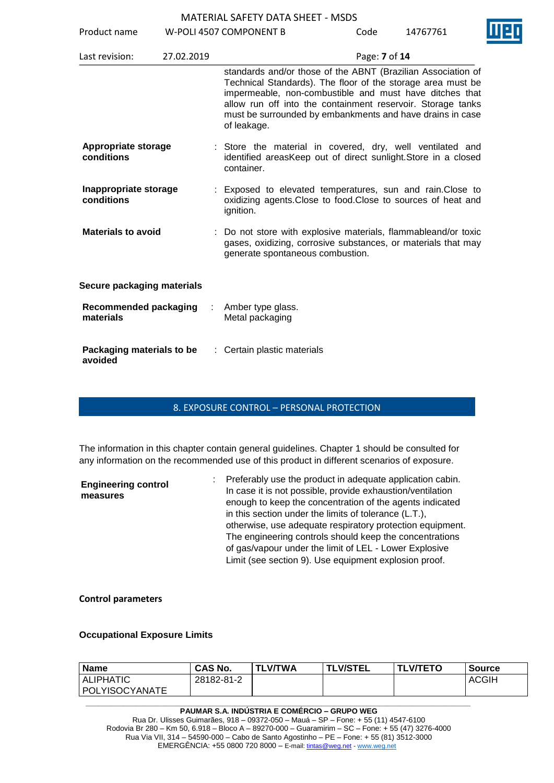|                                           |                | MATERIAL SAFETY DATA SHEET - MSDS                                                                                                                                                                                                                                                                                                 |               |          |  |
|-------------------------------------------|----------------|-----------------------------------------------------------------------------------------------------------------------------------------------------------------------------------------------------------------------------------------------------------------------------------------------------------------------------------|---------------|----------|--|
| Product name                              |                | W-POLI 4507 COMPONENT B                                                                                                                                                                                                                                                                                                           | Code          | 14767761 |  |
| Last revision:                            | 27.02.2019     |                                                                                                                                                                                                                                                                                                                                   | Page: 7 of 14 |          |  |
|                                           |                | standards and/or those of the ABNT (Brazilian Association of<br>Technical Standards). The floor of the storage area must be<br>impermeable, non-combustible and must have ditches that<br>allow run off into the containment reservoir. Storage tanks<br>must be surrounded by embankments and have drains in case<br>of leakage. |               |          |  |
| Appropriate storage<br>conditions         |                | : Store the material in covered, dry, well ventilated and<br>identified areasKeep out of direct sunlight. Store in a closed<br>container.                                                                                                                                                                                         |               |          |  |
| Inappropriate storage<br>conditions       |                | Exposed to elevated temperatures, sun and rain. Close to<br>oxidizing agents. Close to food. Close to sources of heat and<br>ignition.                                                                                                                                                                                            |               |          |  |
| <b>Materials to avoid</b>                 |                | Do not store with explosive materials, flammableand/or toxic<br>gases, oxidizing, corrosive substances, or materials that may<br>generate spontaneous combustion.                                                                                                                                                                 |               |          |  |
| Secure packaging materials                |                |                                                                                                                                                                                                                                                                                                                                   |               |          |  |
| <b>Recommended packaging</b><br>materials | $\mathbb{R}^n$ | Amber type glass.<br>Metal packaging                                                                                                                                                                                                                                                                                              |               |          |  |
| Packaging materials to be                 |                | Certain plastic materials                                                                                                                                                                                                                                                                                                         |               |          |  |

**avoided**

# 8. EXPOSURE CONTROL – PERSONAL PROTECTION

The information in this chapter contain general guidelines. Chapter 1 should be consulted for any information on the recommended use of this product in different scenarios of exposure.

| <b>Engineering control</b><br>measures | : Preferably use the product in adequate application cabin.<br>In case it is not possible, provide exhaustion/ventilation<br>enough to keep the concentration of the agents indicated<br>in this section under the limits of tolerance (L.T.),<br>otherwise, use adequate respiratory protection equipment.<br>The engineering controls should keep the concentrations<br>of gas/vapour under the limit of LEL - Lower Explosive<br>Limit (see section 9). Use equipment explosion proof. |
|----------------------------------------|-------------------------------------------------------------------------------------------------------------------------------------------------------------------------------------------------------------------------------------------------------------------------------------------------------------------------------------------------------------------------------------------------------------------------------------------------------------------------------------------|
|                                        |                                                                                                                                                                                                                                                                                                                                                                                                                                                                                           |

**Control parameters**

## **Occupational Exposure Limits**

| <b>Name</b>      | <b>CAS No.</b> | <b>TLV/TWA</b> | <b>TLV/STEL</b> | <b>TLV/TETO</b> | Source       |
|------------------|----------------|----------------|-----------------|-----------------|--------------|
| <b>ALIPHATIC</b> | 28182-81-2     |                |                 |                 | <b>ACGIH</b> |
| POLYISOCYANATE   |                |                |                 |                 |              |

#### **\_\_\_\_\_\_\_\_\_\_\_\_\_\_\_\_\_\_\_\_\_\_\_\_\_\_\_\_\_\_\_\_\_\_\_\_\_\_\_\_\_\_\_\_\_\_\_\_\_\_\_\_\_\_\_\_\_\_\_\_\_\_\_\_\_\_\_\_\_\_\_\_\_\_\_\_\_\_\_\_\_\_\_\_\_\_\_\_\_\_\_\_\_ PAUMAR S.A. INDÚSTRIA E COMÉRCIO – GRUPO WEG**

Rua Dr. Ulisses Guimarães, 918 – 09372-050 – Mauá – SP – Fone: + 55 (11) 4547-6100 Rodovia Br 280 – Km 50, 6.918 – Bloco A – 89270-000 – Guaramirim – SC – Fone: + 55 (47) 3276-4000 Rua Via VII, 314 – 54590-000 – Cabo de Santo Agostinho – PE – Fone: + 55 (81) 3512-3000 EMERGËNCIA: +55 0800 720 8000 – E-mail[: tintas@weg.net](mailto:tintas@weg.net) - [www.weg.net](http://www.weg.net/)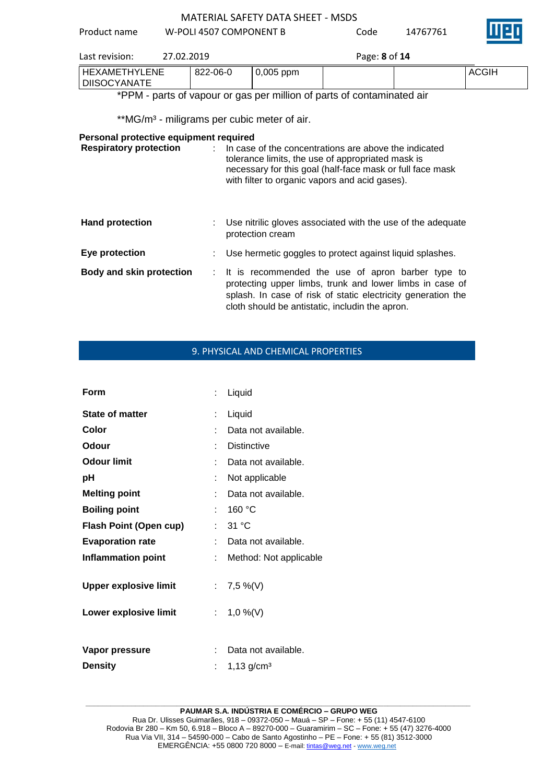Product name W-POLI 4507 COMPONENT B Code 14767761



| Last revision:                  | 27.02.2019 |              | Page: 8 of 14 |              |
|---------------------------------|------------|--------------|---------------|--------------|
| I HEXAMETHYLENE<br>DIISOCYANATE | 822-06-0   | $ 0,005$ ppm |               | <b>ACGIH</b> |

\*PPM - parts of vapour or gas per million of parts of contaminated air

\*\*MG/m<sup>3</sup> - miligrams per cubic meter of air.

# **Personal protective equipment required**

| <b>Respiratory protection</b>   | In case of the concentrations are above the indicated<br>tolerance limits, the use of appropriated mask is<br>necessary for this goal (half-face mask or full face mask<br>with filter to organic vapors and acid gases).          |
|---------------------------------|------------------------------------------------------------------------------------------------------------------------------------------------------------------------------------------------------------------------------------|
| <b>Hand protection</b>          | : Use nitrilic gloves associated with the use of the adequate<br>protection cream                                                                                                                                                  |
| Eye protection                  | : Use hermetic goggles to protect against liquid splashes.                                                                                                                                                                         |
| <b>Body and skin protection</b> | : It is recommended the use of apron barber type to<br>protecting upper limbs, trunk and lower limbs in case of<br>splash. In case of risk of static electricity generation the<br>cloth should be antistatic, includin the apron. |

# 9. PHYSICAL AND CHEMICAL PROPERTIES

| Form                                                  | ÷  | Liquid                         |
|-------------------------------------------------------|----|--------------------------------|
| <b>State of matter</b>                                |    | Liquid                         |
| Color                                                 |    | Data not available.            |
| Odour                                                 |    | <b>Distinctive</b>             |
| <b>Odour limit</b>                                    |    | Data not available.            |
| рH                                                    | t  | Not applicable                 |
| <b>Melting point</b>                                  | t  | Data not available.            |
| <b>Boiling point</b>                                  | t. | 160 °C                         |
| <b>Flash Point (Open cup)</b>                         | ÷. | 31 °C                          |
| <b>Evaporation rate</b>                               |    | Data not available.            |
| <b>Inflammation point</b>                             | ÷. | Method: Not applicable         |
| <b>Upper explosive limit</b><br>Lower explosive limit |    | : $7,5\%$ (V)<br>: $1,0\%$ (V) |
|                                                       |    |                                |
| Vapor pressure                                        | t  | Data not available.            |
| <b>Density</b>                                        |    | $1,13$ g/cm <sup>3</sup>       |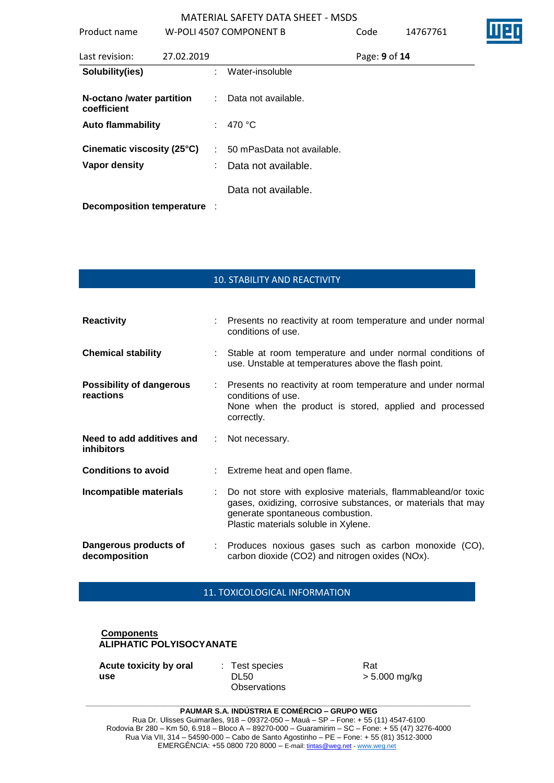| Product name                                |            |               | W-POLI 4507 COMPONENT B                               | Code          | 14767761 |  |
|---------------------------------------------|------------|---------------|-------------------------------------------------------|---------------|----------|--|
| Last revision:                              | 27.02.2019 |               |                                                       | Page: 9 of 14 |          |  |
| Solubility(ies)                             |            | ÷.            | Water-insoluble                                       |               |          |  |
| N-octano /water partition<br>coefficient    |            | $\mathcal{L}$ | Data not available.                                   |               |          |  |
| <b>Auto flammability</b>                    |            |               | : 470 $^{\circ}$ C                                    |               |          |  |
| Cinematic viscosity (25°C)<br>Vapor density |            |               | $: 50$ mPasData not available.<br>Data not available. |               |          |  |
| Decomposition temperature :                 |            |               | Data not available.                                   |               |          |  |

10. STABILITY AND REACTIVITY

| <b>Reactivity</b>                              |                               | : Presents no reactivity at room temperature and under normal<br>conditions of use.                                                                                                                       |
|------------------------------------------------|-------------------------------|-----------------------------------------------------------------------------------------------------------------------------------------------------------------------------------------------------------|
| <b>Chemical stability</b>                      |                               | : Stable at room temperature and under normal conditions of<br>use. Unstable at temperatures above the flash point.                                                                                       |
| <b>Possibility of dangerous</b><br>reactions   |                               | : Presents no reactivity at room temperature and under normal<br>conditions of use.<br>None when the product is stored, applied and processed<br>correctly.                                               |
| Need to add additives and<br><i>inhibitors</i> | $\mathcal{L}^{\mathcal{L}}$ . | Not necessary.                                                                                                                                                                                            |
| <b>Conditions to avoid</b>                     |                               | : Extreme heat and open flame.                                                                                                                                                                            |
| Incompatible materials                         |                               | Do not store with explosive materials, flammableand/or toxic<br>gases, oxidizing, corrosive substances, or materials that may<br>generate spontaneous combustion.<br>Plastic materials soluble in Xylene. |
| Dangerous products of<br>decomposition         |                               | : Produces noxious gases such as carbon monoxide (CO),<br>carbon dioxide (CO2) and nitrogen oxides (NOx).                                                                                                 |

11. TOXICOLOGICAL INFORMATION

# **Components ALIPHATIC POLYISOCYANATE**

**Acute toxicity by oral use**

: Test species DL50 **Observations**  Rat > 5.000 mg/kg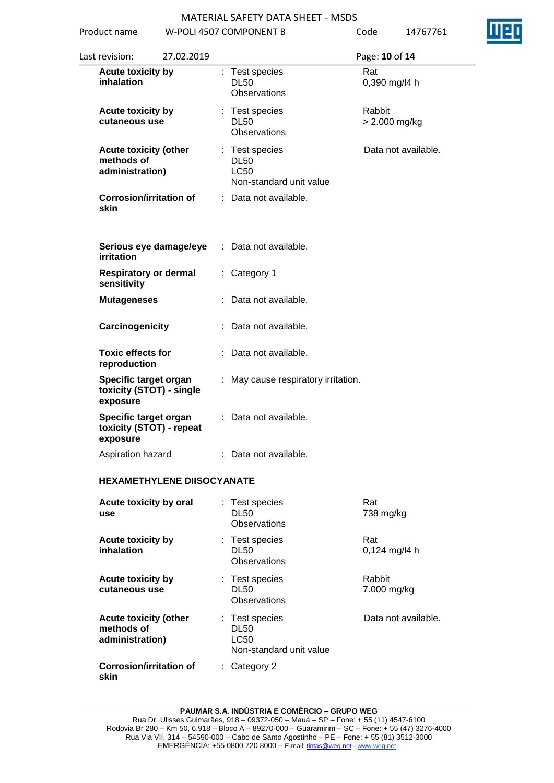

| Product name                                                  |                                   |    | W-POLI 4507 COMPONENT B                                                 | Code   | 14767761            |
|---------------------------------------------------------------|-----------------------------------|----|-------------------------------------------------------------------------|--------|---------------------|
| Last revision:                                                | 27.02.2019                        |    |                                                                         |        | Page: 10 of 14      |
| Acute toxicity by<br>inhalation                               |                                   |    | : Test species<br><b>DL50</b><br><b>Observations</b>                    | Rat    | 0,390 mg/l4 h       |
| Acute toxicity by<br>cutaneous use                            |                                   |    | : Test species<br><b>DL50</b><br>Observations                           | Rabbit | $> 2.000$ mg/kg     |
| <b>Acute toxicity (other</b><br>methods of<br>administration) |                                   |    | : Test species<br><b>DL50</b><br><b>LC50</b><br>Non-standard unit value |        | Data not available. |
| skin                                                          | <b>Corrosion/irritation of</b>    |    | : Data not available.                                                   |        |                     |
| <b>irritation</b>                                             | Serious eye damage/eye            |    | : Data not available.                                                   |        |                     |
| <b>Respiratory or dermal</b><br>sensitivity                   |                                   |    | : Category 1                                                            |        |                     |
| <b>Mutageneses</b>                                            |                                   |    | Data not available.                                                     |        |                     |
| Carcinogenicity                                               |                                   |    | : Data not available.                                                   |        |                     |
| <b>Toxic effects for</b><br>reproduction                      |                                   |    | : Data not available.                                                   |        |                     |
| Specific target organ<br>exposure                             | toxicity (STOT) - single          |    | : May cause respiratory irritation.                                     |        |                     |
| Specific target organ<br>exposure                             | toxicity (STOT) - repeat          | ÷. | Data not available.                                                     |        |                     |
| Aspiration hazard                                             |                                   |    | : Data not available.                                                   |        |                     |
|                                                               | <b>HEXAMETHYLENE DIISOCYANATE</b> |    |                                                                         |        |                     |
| Acute toxicity by oral<br>use                                 |                                   |    | : Test species<br><b>DL50</b><br><b>Observations</b>                    | Rat    | 738 mg/kg           |
| <b>Acute toxicity by</b><br>inhalation                        |                                   |    | : Test species<br><b>DL50</b><br><b>Observations</b>                    | Rat    | 0,124 mg/l4 h       |
| <b>Acute toxicity by</b><br>cutaneous use                     |                                   |    | : Test species<br><b>DL50</b><br>Observations                           | Rabbit | 7.000 mg/kg         |
| <b>Acute toxicity (other</b><br>methods of<br>administration) |                                   |    | : Test species<br><b>DL50</b><br><b>LC50</b><br>Non-standard unit value |        | Data not available. |
| <b>Corrosion/irritation of</b><br>skin                        |                                   |    | $:$ Category 2                                                          |        |                     |

#### **\_\_\_\_\_\_\_\_\_\_\_\_\_\_\_\_\_\_\_\_\_\_\_\_\_\_\_\_\_\_\_\_\_\_\_\_\_\_\_\_\_\_\_\_\_\_\_\_\_\_\_\_\_\_\_\_\_\_\_\_\_\_\_\_\_\_\_\_\_\_\_\_\_\_\_\_\_\_\_\_\_\_\_\_\_\_\_\_\_\_\_\_\_ PAUMAR S.A. INDÚSTRIA E COMÉRCIO – GRUPO WEG**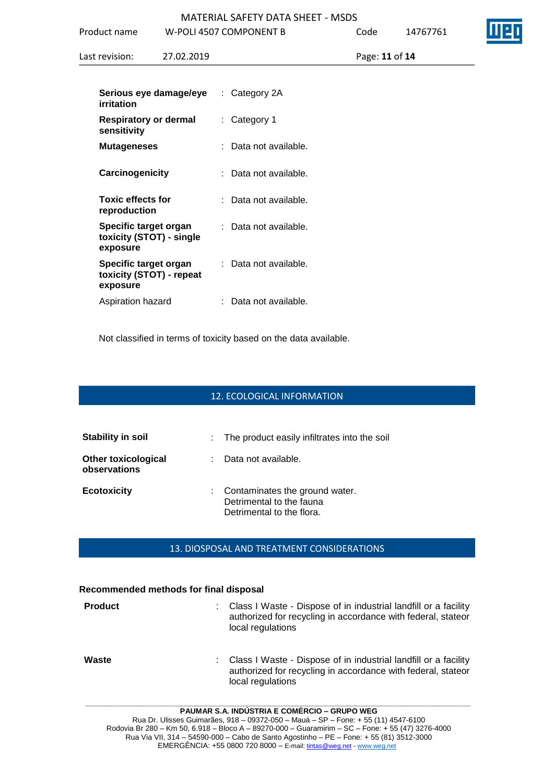|                                                                      |            | MATERIAL SAFETY DATA SHEFT - MSDS |                |          |
|----------------------------------------------------------------------|------------|-----------------------------------|----------------|----------|
| Product name                                                         |            | W-POLI 4507 COMPONENT B           | Code           | 14767761 |
| Last revision:                                                       | 27.02.2019 |                                   | Page: 11 of 14 |          |
| Serious eye damage/eye<br>irritation                                 |            | : Category 2A                     |                |          |
| <b>Respiratory or dermal</b><br>sensitivity                          |            | $:$ Category 1                    |                |          |
| <b>Mutageneses</b>                                                   |            | : Data not available.             |                |          |
| Carcinogenicity                                                      |            | : Data not available.             |                |          |
| <b>Toxic effects for</b><br>reproduction                             |            | : Data not available.             |                |          |
| <b>Specific target organ</b><br>toxicity (STOT) - single<br>exposure |            | : Data not available.             |                |          |
| Specific target organ<br>toxicity (STOT) - repeat<br>exposure        |            | : Data not available.             |                |          |
| Aspiration hazard                                                    |            | : Data not available.             |                |          |

Not classified in terms of toxicity based on the data available.

# 12. ECOLOGICAL INFORMATION

| <b>Stability in soil</b>                   |    | : The product easily infiltrates into the soil                                            |
|--------------------------------------------|----|-------------------------------------------------------------------------------------------|
| <b>Other toxicological</b><br>observations | t. | Data not available.                                                                       |
| <b>Ecotoxicity</b>                         |    | : Contaminates the ground water.<br>Detrimental to the fauna<br>Detrimental to the flora. |

#### 13. DIOSPOSAL AND TREATMENT CONSIDERATIONS

#### **Recommended methods for final disposal**

| <b>Product</b> | ÷. | Class I Waste - Dispose of in industrial landfill or a facility<br>authorized for recycling in accordance with federal, stateor<br>local regulations |
|----------------|----|------------------------------------------------------------------------------------------------------------------------------------------------------|
| Waste          | ÷. | Class I Waste - Dispose of in industrial landfill or a facility<br>authorized for recycling in accordance with federal, stateor<br>local regulations |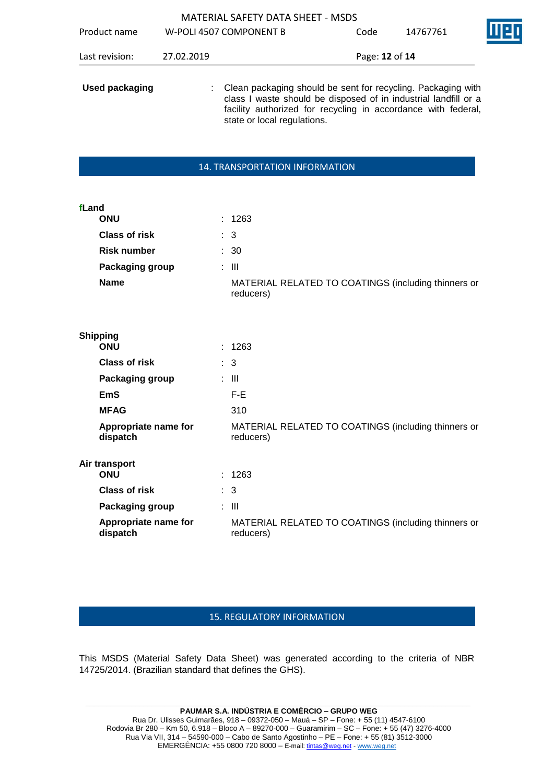|                       |            | <b>MATERIAL SAFETY DATA SHEET - MSDS</b>                                                                                                                                                                                          |                |          |  |
|-----------------------|------------|-----------------------------------------------------------------------------------------------------------------------------------------------------------------------------------------------------------------------------------|----------------|----------|--|
| Product name          |            | W-POLI 4507 COMPONENT B                                                                                                                                                                                                           | Code           | 14767761 |  |
| Last revision:        | 27.02.2019 |                                                                                                                                                                                                                                   | Page: 12 of 14 |          |  |
| <b>Used packaging</b> |            | : Clean packaging should be sent for recycling. Packaging with<br>class I waste should be disposed of in industrial landfill or a<br>facility authorized for recycling in accordance with federal,<br>state or local regulations. |                |          |  |

 $\mathbf{I}$ 

## 14. TRANSPORTATION INFORMATION

| fLand | ONU                              | ÷. | 1263                                                             |
|-------|----------------------------------|----|------------------------------------------------------------------|
|       | <b>Class of risk</b>             |    | $\therefore$ 3                                                   |
|       | <b>Risk number</b>               |    | $\therefore$ 30                                                  |
|       | Packaging group                  |    | : III                                                            |
|       | <b>Name</b>                      |    | MATERIAL RELATED TO COATINGS (including thinners or<br>reducers) |
|       |                                  |    |                                                                  |
|       | <b>Shipping</b><br>ONU           |    | : 1263                                                           |
|       | Class of risk                    |    | : 3                                                              |
|       | Packaging group                  |    | : III                                                            |
|       | EmS                              |    | $F-E$                                                            |
|       | <b>MFAG</b>                      |    | 310                                                              |
|       | Appropriate name for<br>dispatch |    | MATERIAL RELATED TO COATINGS (including thinners or<br>reducers) |
|       | Air transport<br><b>ONU</b>      |    | 1263                                                             |
|       | <b>Class of risk</b>             |    | $\therefore$ 3                                                   |
|       | Packaging group                  |    | $\pm$ 111                                                        |
|       | Appropriate name for<br>dispatch |    | MATERIAL RELATED TO COATINGS (including thinners or<br>reducers) |

# 15. REGULATORY INFORMATION

This MSDS (Material Safety Data Sheet) was generated according to the criteria of NBR 14725/2014. (Brazilian standard that defines the GHS).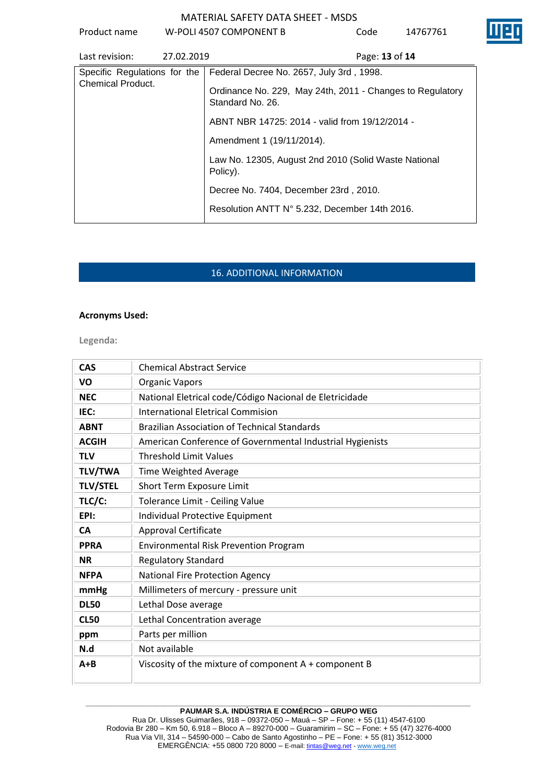

| Last revision:               | 27.02.2019 | Page: 13 of 14                                                                |
|------------------------------|------------|-------------------------------------------------------------------------------|
| Specific Regulations for the |            | Federal Decree No. 2657, July 3rd, 1998.                                      |
| <b>Chemical Product.</b>     |            | Ordinance No. 229, May 24th, 2011 - Changes to Regulatory<br>Standard No. 26. |
|                              |            | ABNT NBR 14725: 2014 - valid from 19/12/2014 -                                |
|                              |            | Amendment 1 (19/11/2014).                                                     |
|                              |            | Law No. 12305, August 2nd 2010 (Solid Waste National<br>Policy).              |
|                              |            | Decree No. 7404, December 23rd, 2010.                                         |
|                              |            | Resolution ANTT N° 5.232, December 14th 2016.                                 |

# 16. ADDITIONAL INFORMATION

# **Acronyms Used:**

**Legenda:**

| <b>CAS</b>      | <b>Chemical Abstract Service</b>                          |
|-----------------|-----------------------------------------------------------|
| VO              | <b>Organic Vapors</b>                                     |
| <b>NEC</b>      | National Eletrical code/Código Nacional de Eletricidade   |
| IEC:            | <b>International Eletrical Commision</b>                  |
| <b>ABNT</b>     | <b>Brazilian Association of Technical Standards</b>       |
| <b>ACGIH</b>    | American Conference of Governmental Industrial Hygienists |
| <b>TLV</b>      | <b>Threshold Limit Values</b>                             |
| <b>TLV/TWA</b>  | <b>Time Weighted Average</b>                              |
| <b>TLV/STEL</b> | Short Term Exposure Limit                                 |
| TLC/C:          | Tolerance Limit - Ceiling Value                           |
| EPI:            | Individual Protective Equipment                           |
| <b>CA</b>       | <b>Approval Certificate</b>                               |
| <b>PPRA</b>     | <b>Environmental Risk Prevention Program</b>              |
| <b>NR</b>       | <b>Regulatory Standard</b>                                |
| <b>NFPA</b>     | <b>National Fire Protection Agency</b>                    |
| mmHg            | Millimeters of mercury - pressure unit                    |
| <b>DL50</b>     | Lethal Dose average                                       |
| <b>CL50</b>     | Lethal Concentration average                              |
| ppm             | Parts per million                                         |
| N.d             | Not available                                             |
| $A + B$         | Viscosity of the mixture of component A + component B     |

#### **\_\_\_\_\_\_\_\_\_\_\_\_\_\_\_\_\_\_\_\_\_\_\_\_\_\_\_\_\_\_\_\_\_\_\_\_\_\_\_\_\_\_\_\_\_\_\_\_\_\_\_\_\_\_\_\_\_\_\_\_\_\_\_\_\_\_\_\_\_\_\_\_\_\_\_\_\_\_\_\_\_\_\_\_\_\_\_\_\_\_\_\_\_ PAUMAR S.A. INDÚSTRIA E COMÉRCIO – GRUPO WEG**